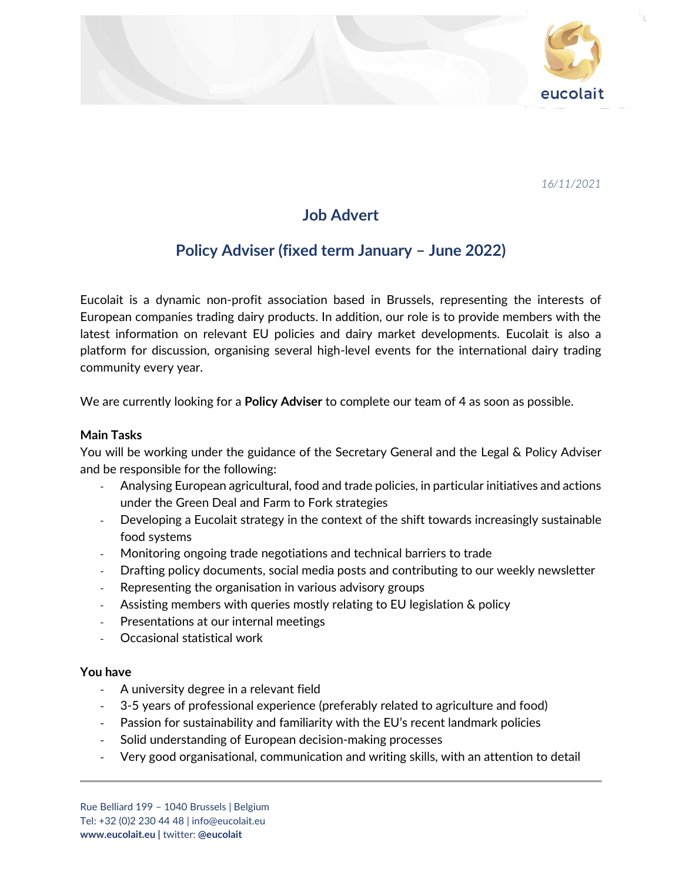

*16/11/2021*

# **Job Advert**

## **Policy Adviser (fixed term January – June 2022)**

Eucolait is a dynamic non-profit association based in Brussels, representing the interests of European companies trading dairy products. In addition, our role is to provide members with the latest information on relevant EU policies and dairy market developments. Eucolait is also a platform for discussion, organising several high-level events for the international dairy trading community every year.

We are currently looking for a **Policy Adviser** to complete our team of 4 as soon as possible.

### **Main Tasks**

You will be working under the guidance of the Secretary General and the Legal & Policy Adviser and be responsible for the following:

- Analysing European agricultural, food and trade policies, in particular initiatives and actions under the Green Deal and Farm to Fork strategies
- Developing a Eucolait strategy in the context of the shift towards increasingly sustainable food systems
- Monitoring ongoing trade negotiations and technical barriers to trade
- Drafting policy documents, social media posts and contributing to our weekly newsletter
- Representing the organisation in various advisory groups
- Assisting members with queries mostly relating to EU legislation & policy
- Presentations at our internal meetings
- Occasional statistical work

#### **You have**

- A university degree in a relevant field
- 3-5 years of professional experience (preferably related to agriculture and food)
- Passion for sustainability and familiarity with the EU's recent landmark policies
- Solid understanding of European decision-making processes
- Very good organisational, communication and writing skills, with an attention to detail